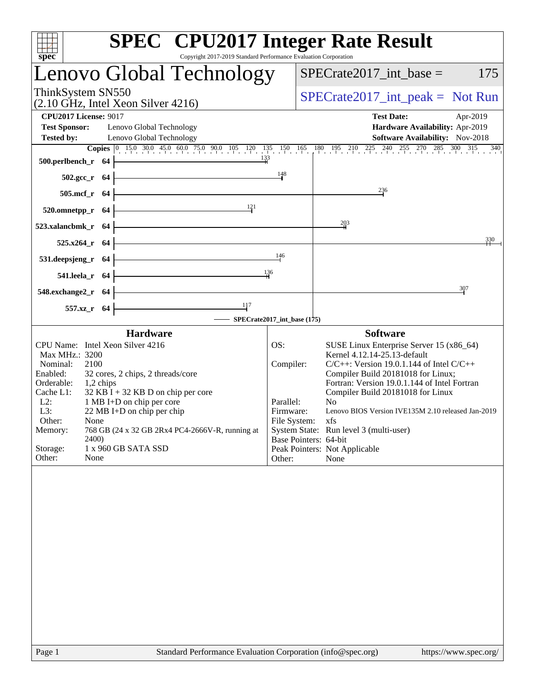| spec <sup>®</sup>                                                                                                                                                                                                                                                                                                                                                                                                                                    | <b>SPEC<sup>®</sup></b> CPU2017 Integer Rate Result<br>Copyright 2017-2019 Standard Performance Evaluation Corporation                                                                                                                                                                                                                                                                                                                                                                                                                     |
|------------------------------------------------------------------------------------------------------------------------------------------------------------------------------------------------------------------------------------------------------------------------------------------------------------------------------------------------------------------------------------------------------------------------------------------------------|--------------------------------------------------------------------------------------------------------------------------------------------------------------------------------------------------------------------------------------------------------------------------------------------------------------------------------------------------------------------------------------------------------------------------------------------------------------------------------------------------------------------------------------------|
| Lenovo Global Technology                                                                                                                                                                                                                                                                                                                                                                                                                             | $SPECrate2017\_int\_base =$<br>175                                                                                                                                                                                                                                                                                                                                                                                                                                                                                                         |
| ThinkSystem SN550<br>$(2.10 \text{ GHz}, \text{Intel Xeon Silver } 4216)$                                                                                                                                                                                                                                                                                                                                                                            | $SPECrate2017\_int\_peak = Not Run$                                                                                                                                                                                                                                                                                                                                                                                                                                                                                                        |
| <b>CPU2017 License: 9017</b>                                                                                                                                                                                                                                                                                                                                                                                                                         | <b>Test Date:</b><br>Apr-2019                                                                                                                                                                                                                                                                                                                                                                                                                                                                                                              |
| <b>Test Sponsor:</b><br>Lenovo Global Technology                                                                                                                                                                                                                                                                                                                                                                                                     | Hardware Availability: Apr-2019                                                                                                                                                                                                                                                                                                                                                                                                                                                                                                            |
| <b>Tested by:</b><br>Lenovo Global Technology                                                                                                                                                                                                                                                                                                                                                                                                        | Software Availability: Nov-2018<br>340                                                                                                                                                                                                                                                                                                                                                                                                                                                                                                     |
| 133<br>500.perlbench_r 64                                                                                                                                                                                                                                                                                                                                                                                                                            |                                                                                                                                                                                                                                                                                                                                                                                                                                                                                                                                            |
| $502.\text{gcc}_r$ 64                                                                                                                                                                                                                                                                                                                                                                                                                                | 148                                                                                                                                                                                                                                                                                                                                                                                                                                                                                                                                        |
| 505.mcf_r 64                                                                                                                                                                                                                                                                                                                                                                                                                                         | $^{236}$                                                                                                                                                                                                                                                                                                                                                                                                                                                                                                                                   |
| 121<br>520.omnetpp_r 64                                                                                                                                                                                                                                                                                                                                                                                                                              |                                                                                                                                                                                                                                                                                                                                                                                                                                                                                                                                            |
| 523.xalancbmk_r 64                                                                                                                                                                                                                                                                                                                                                                                                                                   | 203                                                                                                                                                                                                                                                                                                                                                                                                                                                                                                                                        |
| 525.x264_r 64                                                                                                                                                                                                                                                                                                                                                                                                                                        | 330                                                                                                                                                                                                                                                                                                                                                                                                                                                                                                                                        |
| 531.deepsjeng_r 64                                                                                                                                                                                                                                                                                                                                                                                                                                   | 146                                                                                                                                                                                                                                                                                                                                                                                                                                                                                                                                        |
| 541.leela_r 64                                                                                                                                                                                                                                                                                                                                                                                                                                       | 136                                                                                                                                                                                                                                                                                                                                                                                                                                                                                                                                        |
| 548.exchange2_r 64                                                                                                                                                                                                                                                                                                                                                                                                                                   | 307                                                                                                                                                                                                                                                                                                                                                                                                                                                                                                                                        |
| $\frac{117}{1}$<br>557.xz_r 64                                                                                                                                                                                                                                                                                                                                                                                                                       |                                                                                                                                                                                                                                                                                                                                                                                                                                                                                                                                            |
|                                                                                                                                                                                                                                                                                                                                                                                                                                                      | SPECrate2017_int_base (175)                                                                                                                                                                                                                                                                                                                                                                                                                                                                                                                |
| <b>Hardware</b><br>CPU Name: Intel Xeon Silver 4216<br>Max MHz.: 3200<br>Nominal:<br>2100<br>Enabled:<br>32 cores, 2 chips, 2 threads/core<br>Orderable:<br>1,2 chips<br>$32$ KB I + 32 KB D on chip per core<br>Cache L1:<br>$L2$ :<br>1 MB I+D on chip per core<br>L3:<br>22 MB I+D on chip per chip<br>Other:<br>None<br>Memory:<br>768 GB (24 x 32 GB 2Rx4 PC4-2666V-R, running at<br>2400)<br>Storage:<br>1 x 960 GB SATA SSD<br>Other:<br>None | <b>Software</b><br>OS:<br>SUSE Linux Enterprise Server 15 (x86_64)<br>Kernel 4.12.14-25.13-default<br>Compiler:<br>$C/C++$ : Version 19.0.1.144 of Intel $C/C++$<br>Compiler Build 20181018 for Linux;<br>Fortran: Version 19.0.1.144 of Intel Fortran<br>Compiler Build 20181018 for Linux<br>Parallel:<br>N <sub>0</sub><br>Lenovo BIOS Version IVE135M 2.10 released Jan-2019<br>Firmware:<br>File System:<br>xfs<br>System State: Run level 3 (multi-user)<br>Base Pointers: 64-bit<br>Peak Pointers: Not Applicable<br>None<br>Other: |
|                                                                                                                                                                                                                                                                                                                                                                                                                                                      |                                                                                                                                                                                                                                                                                                                                                                                                                                                                                                                                            |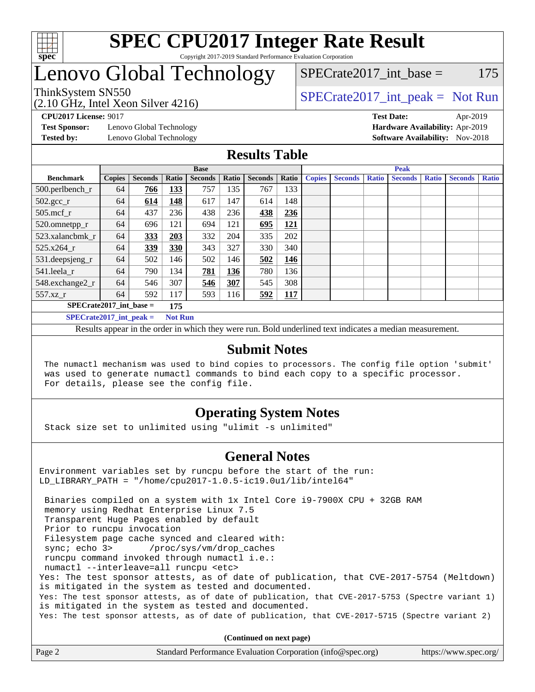

# Lenovo Global Technology

SPECrate  $2017$  int base = 175

(2.10 GHz, Intel Xeon Silver 4216)

ThinkSystem SN550<br>  $SPECTR_{12}$  [SPECrate2017\\_int\\_peak =](http://www.spec.org/auto/cpu2017/Docs/result-fields.html#SPECrate2017intpeak) Not Run

**[Test Sponsor:](http://www.spec.org/auto/cpu2017/Docs/result-fields.html#TestSponsor)** Lenovo Global Technology **[Hardware Availability:](http://www.spec.org/auto/cpu2017/Docs/result-fields.html#HardwareAvailability)** Apr-2019

**[CPU2017 License:](http://www.spec.org/auto/cpu2017/Docs/result-fields.html#CPU2017License)** 9017 **[Test Date:](http://www.spec.org/auto/cpu2017/Docs/result-fields.html#TestDate)** Apr-2019 **[Tested by:](http://www.spec.org/auto/cpu2017/Docs/result-fields.html#Testedby)** Lenovo Global Technology **[Software Availability:](http://www.spec.org/auto/cpu2017/Docs/result-fields.html#SoftwareAvailability)** Nov-2018

## **[Results Table](http://www.spec.org/auto/cpu2017/Docs/result-fields.html#ResultsTable)**

|                             |               |                |                | <b>Base</b>    |       |                |            | <b>Peak</b>   |                |              |                |              |                |              |
|-----------------------------|---------------|----------------|----------------|----------------|-------|----------------|------------|---------------|----------------|--------------|----------------|--------------|----------------|--------------|
| <b>Benchmark</b>            | <b>Copies</b> | <b>Seconds</b> | Ratio          | <b>Seconds</b> | Ratio | <b>Seconds</b> | Ratio      | <b>Copies</b> | <b>Seconds</b> | <b>Ratio</b> | <b>Seconds</b> | <b>Ratio</b> | <b>Seconds</b> | <b>Ratio</b> |
| $500.$ perlbench_r          | 64            | 766            | 133            | 757            | 135   | 767            | 133        |               |                |              |                |              |                |              |
| $502.\text{gcc}_r$          | 64            | 614            | 148            | 617            | 147   | 614            | 148        |               |                |              |                |              |                |              |
| $505$ .mcf r                | 64            | 437            | 236            | 438            | 236   | 438            | 236        |               |                |              |                |              |                |              |
| 520.omnetpp_r               | 64            | 696            | 121            | 694            | 121   | 695            | 121        |               |                |              |                |              |                |              |
| 523.xalancbmk_r             | 64            | 333            | 203            | 332            | 204   | 335            | 202        |               |                |              |                |              |                |              |
| 525.x264 r                  | 64            | 339            | 330            | 343            | 327   | 330            | 340        |               |                |              |                |              |                |              |
| 531.deepsjeng_r             | 64            | 502            | 146            | 502            | 146   | 502            | 146        |               |                |              |                |              |                |              |
| 541.leela r                 | 64            | 790            | 134            | 781            | 136   | 780            | 136        |               |                |              |                |              |                |              |
| 548.exchange2_r             | 64            | 546            | 307            | 546            | 307   | 545            | 308        |               |                |              |                |              |                |              |
| 557.xz r                    | 64            | 592            | 117            | 593            | 116   | 592            | <b>117</b> |               |                |              |                |              |                |              |
| $SPECrate2017$ int base =   |               |                | 175            |                |       |                |            |               |                |              |                |              |                |              |
| $SPECrate2017\_int\_peak =$ |               |                | <b>Not Run</b> |                |       |                |            |               |                |              |                |              |                |              |

Results appear in the [order in which they were run](http://www.spec.org/auto/cpu2017/Docs/result-fields.html#RunOrder). Bold underlined text [indicates a median measurement](http://www.spec.org/auto/cpu2017/Docs/result-fields.html#Median).

### **[Submit Notes](http://www.spec.org/auto/cpu2017/Docs/result-fields.html#SubmitNotes)**

 The numactl mechanism was used to bind copies to processors. The config file option 'submit' was used to generate numactl commands to bind each copy to a specific processor. For details, please see the config file.

## **[Operating System Notes](http://www.spec.org/auto/cpu2017/Docs/result-fields.html#OperatingSystemNotes)**

Stack size set to unlimited using "ulimit -s unlimited"

### **[General Notes](http://www.spec.org/auto/cpu2017/Docs/result-fields.html#GeneralNotes)**

Environment variables set by runcpu before the start of the run: LD\_LIBRARY\_PATH = "/home/cpu2017-1.0.5-ic19.0u1/lib/intel64"

 Binaries compiled on a system with 1x Intel Core i9-7900X CPU + 32GB RAM memory using Redhat Enterprise Linux 7.5 Transparent Huge Pages enabled by default Prior to runcpu invocation Filesystem page cache synced and cleared with: sync; echo 3> /proc/sys/vm/drop\_caches runcpu command invoked through numactl i.e.: numactl --interleave=all runcpu <etc> Yes: The test sponsor attests, as of date of publication, that CVE-2017-5754 (Meltdown) is mitigated in the system as tested and documented. Yes: The test sponsor attests, as of date of publication, that CVE-2017-5753 (Spectre variant 1) is mitigated in the system as tested and documented. Yes: The test sponsor attests, as of date of publication, that CVE-2017-5715 (Spectre variant 2)

**(Continued on next page)**

| Page 2<br>Standard Performance Evaluation Corporation (info@spec.org)<br>https://www.spec.org/ |
|------------------------------------------------------------------------------------------------|
|------------------------------------------------------------------------------------------------|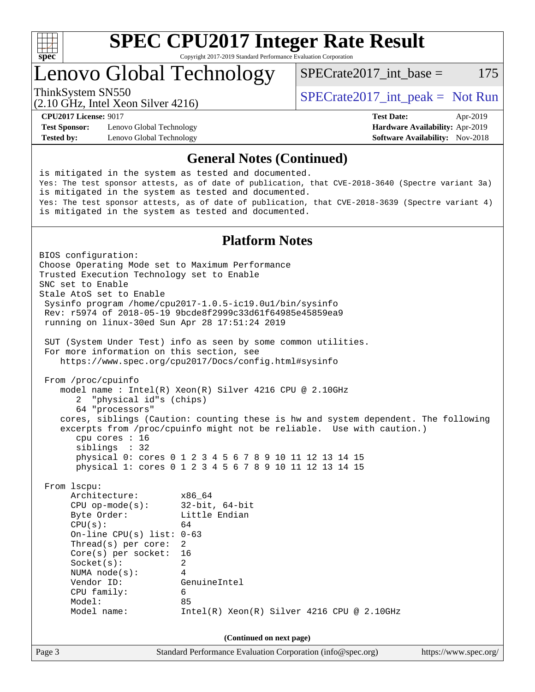

# Lenovo Global Technology

ThinkSystem SN550<br>  $SPECTA = Not Run$ <br>  $SPECTA = Not Run$ 

SPECrate  $2017$  int base = 175

(2.10 GHz, Intel Xeon Silver 4216)

**[Test Sponsor:](http://www.spec.org/auto/cpu2017/Docs/result-fields.html#TestSponsor)** Lenovo Global Technology **[Hardware Availability:](http://www.spec.org/auto/cpu2017/Docs/result-fields.html#HardwareAvailability)** Apr-2019 **[Tested by:](http://www.spec.org/auto/cpu2017/Docs/result-fields.html#Testedby)** Lenovo Global Technology **[Software Availability:](http://www.spec.org/auto/cpu2017/Docs/result-fields.html#SoftwareAvailability)** Nov-2018

**[CPU2017 License:](http://www.spec.org/auto/cpu2017/Docs/result-fields.html#CPU2017License)** 9017 **[Test Date:](http://www.spec.org/auto/cpu2017/Docs/result-fields.html#TestDate)** Apr-2019

#### **[General Notes \(Continued\)](http://www.spec.org/auto/cpu2017/Docs/result-fields.html#GeneralNotes)**

is mitigated in the system as tested and documented. Yes: The test sponsor attests, as of date of publication, that CVE-2018-3640 (Spectre variant 3a) is mitigated in the system as tested and documented. Yes: The test sponsor attests, as of date of publication, that CVE-2018-3639 (Spectre variant 4) is mitigated in the system as tested and documented.

### **[Platform Notes](http://www.spec.org/auto/cpu2017/Docs/result-fields.html#PlatformNotes)**

Page 3 Standard Performance Evaluation Corporation [\(info@spec.org\)](mailto:info@spec.org) <https://www.spec.org/> BIOS configuration: Choose Operating Mode set to Maximum Performance Trusted Execution Technology set to Enable SNC set to Enable Stale AtoS set to Enable Sysinfo program /home/cpu2017-1.0.5-ic19.0u1/bin/sysinfo Rev: r5974 of 2018-05-19 9bcde8f2999c33d61f64985e45859ea9 running on linux-30ed Sun Apr 28 17:51:24 2019 SUT (System Under Test) info as seen by some common utilities. For more information on this section, see <https://www.spec.org/cpu2017/Docs/config.html#sysinfo> From /proc/cpuinfo model name : Intel(R) Xeon(R) Silver 4216 CPU @ 2.10GHz 2 "physical id"s (chips) 64 "processors" cores, siblings (Caution: counting these is hw and system dependent. The following excerpts from /proc/cpuinfo might not be reliable. Use with caution.) cpu cores : 16 siblings : 32 physical 0: cores 0 1 2 3 4 5 6 7 8 9 10 11 12 13 14 15 physical 1: cores 0 1 2 3 4 5 6 7 8 9 10 11 12 13 14 15 From lscpu: Architecture: x86\_64 CPU op-mode(s): 32-bit, 64-bit Byte Order: Little Endian  $CPU(s):$  64 On-line CPU(s) list: 0-63 Thread(s) per core: 2 Core(s) per socket: 16 Socket(s): 2 NUMA node(s): 4 Vendor ID: GenuineIntel CPU family: 6 Model: 85 Model name: Intel(R) Xeon(R) Silver 4216 CPU @ 2.10GHz **(Continued on next page)**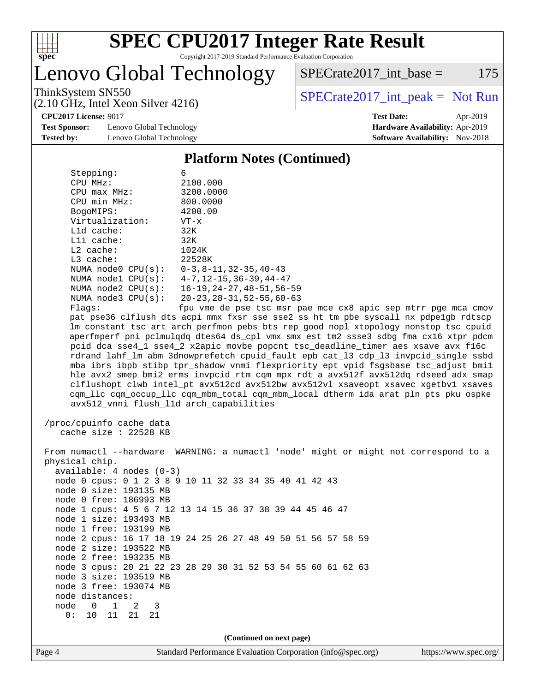

Lenovo Global Technology

ThinkSystem SN550<br>  $(2.10 \text{ GHz} \text{ Intel } \text{Yoon } \text{Silvar } 4216)$  [SPECrate2017\\_int\\_peak =](http://www.spec.org/auto/cpu2017/Docs/result-fields.html#SPECrate2017intpeak) Not Run  $SPECTate2017\_int\_base = 175$ 

(2.10 GHz, Intel Xeon Silver 4216)

**[Test Sponsor:](http://www.spec.org/auto/cpu2017/Docs/result-fields.html#TestSponsor)** Lenovo Global Technology **[Hardware Availability:](http://www.spec.org/auto/cpu2017/Docs/result-fields.html#HardwareAvailability)** Apr-2019 **[Tested by:](http://www.spec.org/auto/cpu2017/Docs/result-fields.html#Testedby)** Lenovo Global Technology **[Software Availability:](http://www.spec.org/auto/cpu2017/Docs/result-fields.html#SoftwareAvailability)** Nov-2018

**[CPU2017 License:](http://www.spec.org/auto/cpu2017/Docs/result-fields.html#CPU2017License)** 9017 **[Test Date:](http://www.spec.org/auto/cpu2017/Docs/result-fields.html#TestDate)** Apr-2019

### **[Platform Notes \(Continued\)](http://www.spec.org/auto/cpu2017/Docs/result-fields.html#PlatformNotes)**

| Stepping:                                       | 6                                                                                    |
|-------------------------------------------------|--------------------------------------------------------------------------------------|
| CPU MHz:                                        | 2100.000                                                                             |
| $CPU$ $max$ $MHz$ :                             | 3200.0000                                                                            |
| CPU min MHz:                                    | 800.0000                                                                             |
| BogoMIPS:                                       | 4200.00                                                                              |
| Virtualization:                                 | $VT - x$                                                                             |
| L1d cache:                                      | 32K                                                                                  |
| Lli cache:                                      | 32K                                                                                  |
| $L2$ cache:                                     | 1024K                                                                                |
| L3 cache:                                       | 22528K                                                                               |
|                                                 | NUMA node0 CPU(s): 0-3,8-11,32-35,40-43                                              |
|                                                 | NUMA nodel CPU(s): 4-7, 12-15, 36-39, 44-47                                          |
| NUMA $node2$ $CPU(s):$                          | 16-19, 24-27, 48-51, 56-59                                                           |
| NUMA $node3$ $CPU(s):$                          | $20 - 23, 28 - 31, 52 - 55, 60 - 63$                                                 |
| Flaqs:                                          | fpu vme de pse tsc msr pae mce cx8 apic sep mtrr pge mca cmov                        |
|                                                 | pat pse36 clflush dts acpi mmx fxsr sse sse2 ss ht tm pbe syscall nx pdpelgb rdtscp  |
|                                                 | lm constant_tsc art arch_perfmon pebs bts rep_good nopl xtopology nonstop_tsc cpuid  |
|                                                 | aperfmperf pni pclmulqdq dtes64 ds_cpl vmx smx est tm2 ssse3 sdbg fma cx16 xtpr pdcm |
|                                                 | pcid dca sse4_1 sse4_2 x2apic movbe popcnt tsc_deadline_timer aes xsave avx f16c     |
|                                                 | rdrand lahf_lm abm 3dnowprefetch cpuid_fault epb cat_13 cdp_13 invpcid_single ssbd   |
|                                                 | mba ibrs ibpb stibp tpr_shadow vnmi flexpriority ept vpid fsgsbase tsc_adjust bmil   |
|                                                 | hle avx2 smep bmi2 erms invpcid rtm cqm mpx rdt_a avx512f avx512dq rdseed adx smap   |
|                                                 | clflushopt clwb intel_pt avx512cd avx512bw avx512vl xsaveopt xsavec xgetbvl xsaves   |
|                                                 | cqm_llc cqm_occup_llc cqm_mbm_total cqm_mbm_local dtherm ida arat pln pts pku ospke  |
| avx512_vnni flush_l1d arch_capabilities         |                                                                                      |
| /proc/cpuinfo cache data                        |                                                                                      |
| cache size : 22528 KB                           |                                                                                      |
|                                                 |                                                                                      |
|                                                 | From numactl --hardware WARNING: a numactl 'node' might or might not correspond to a |
| physical chip.                                  |                                                                                      |
| $available: 4 nodes (0-3)$                      |                                                                                      |
|                                                 | node 0 cpus: 0 1 2 3 8 9 10 11 32 33 34 35 40 41 42 43                               |
| node 0 size: 193135 MB                          |                                                                                      |
| node 0 free: 186993 MB                          |                                                                                      |
|                                                 | node 1 cpus: 4 5 6 7 12 13 14 15 36 37 38 39 44 45 46 47                             |
| node 1 size: 193493 MB                          |                                                                                      |
| node 1 free: 193199 MB                          |                                                                                      |
|                                                 | node 2 cpus: 16 17 18 19 24 25 26 27 48 49 50 51 56 57 58 59                         |
| node 2 size: 193522 MB                          |                                                                                      |
| node 2 free: 193235 MB                          |                                                                                      |
|                                                 | node 3 cpus: 20 21 22 23 28 29 30 31 52 53 54 55 60 61 62 63                         |
| node 3 size: 193519 MB                          |                                                                                      |
| node 3 free: 193074 MB                          |                                                                                      |
| node distances:                                 |                                                                                      |
| node<br>$\overline{0}$<br>$\mathbf 1$<br>2<br>3 |                                                                                      |
| 0:<br>10 11<br>21<br>21                         |                                                                                      |
|                                                 |                                                                                      |
|                                                 | (Continued on next page)                                                             |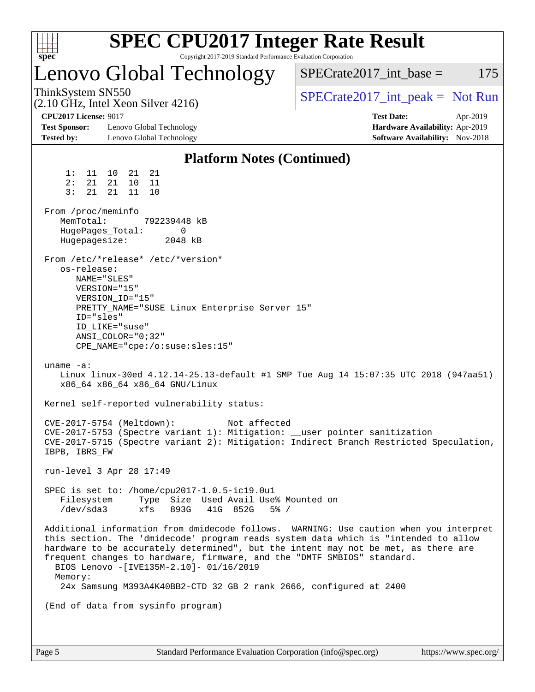| spec <sup>®</sup>                                                         |                                                                                                                                                                            |                              | Copyright 2017-2019 Standard Performance Evaluation Corporation | <b>SPEC CPU2017 Integer Rate Result</b>                                                                                                       |                                                                                                                                                                                                                                                                     |          |
|---------------------------------------------------------------------------|----------------------------------------------------------------------------------------------------------------------------------------------------------------------------|------------------------------|-----------------------------------------------------------------|-----------------------------------------------------------------------------------------------------------------------------------------------|---------------------------------------------------------------------------------------------------------------------------------------------------------------------------------------------------------------------------------------------------------------------|----------|
|                                                                           | Lenovo Global Technology                                                                                                                                                   |                              |                                                                 |                                                                                                                                               | $SPECrate2017\_int\_base =$                                                                                                                                                                                                                                         | 175      |
| ThinkSystem SN550                                                         | $(2.10 \text{ GHz}, \text{Intel Xeon Silver } 4216)$                                                                                                                       |                              |                                                                 |                                                                                                                                               | $SPECrate2017\_int\_peak = Not Run$                                                                                                                                                                                                                                 |          |
| <b>CPU2017 License: 9017</b><br><b>Test Sponsor:</b><br><b>Tested by:</b> | Lenovo Global Technology<br>Lenovo Global Technology                                                                                                                       |                              |                                                                 |                                                                                                                                               | <b>Test Date:</b><br>Hardware Availability: Apr-2019<br>Software Availability: Nov-2018                                                                                                                                                                             | Apr-2019 |
|                                                                           |                                                                                                                                                                            |                              | <b>Platform Notes (Continued)</b>                               |                                                                                                                                               |                                                                                                                                                                                                                                                                     |          |
| 1:<br>11<br>2:<br>21<br>3:<br>21                                          | 10<br>21<br>21<br>21<br>10<br>11<br>21<br>11<br>10                                                                                                                         |                              |                                                                 |                                                                                                                                               |                                                                                                                                                                                                                                                                     |          |
| From /proc/meminfo<br>MemTotal:<br>Hugepagesize:                          | HugePages_Total:                                                                                                                                                           | 792239448 kB<br>0<br>2048 kB |                                                                 |                                                                                                                                               |                                                                                                                                                                                                                                                                     |          |
| os-release:                                                               | From /etc/*release* /etc/*version*<br>NAME="SLES"<br>VERSION="15"<br>VERSION ID="15"<br>ID="sles"<br>ID LIKE="suse"<br>ANSI COLOR="0;32"<br>CPE_NAME="cpe:/o:suse:sles:15" |                              | PRETTY_NAME="SUSE Linux Enterprise Server 15"                   |                                                                                                                                               |                                                                                                                                                                                                                                                                     |          |
| uname $-a$ :                                                              | x86_64 x86_64 x86_64 GNU/Linux                                                                                                                                             |                              |                                                                 |                                                                                                                                               | Linux linux-30ed 4.12.14-25.13-default #1 SMP Tue Aug 14 15:07:35 UTC 2018 (947aa51)                                                                                                                                                                                |          |
|                                                                           | Kernel self-reported vulnerability status:                                                                                                                                 |                              |                                                                 |                                                                                                                                               |                                                                                                                                                                                                                                                                     |          |
| IBPB, IBRS_FW                                                             | CVE-2017-5754 (Meltdown):                                                                                                                                                  |                              | Not affected                                                    | CVE-2017-5753 (Spectre variant 1): Mitigation: __user pointer sanitization                                                                    | CVE-2017-5715 (Spectre variant 2): Mitigation: Indirect Branch Restricted Speculation,                                                                                                                                                                              |          |
|                                                                           | run-level 3 Apr 28 17:49                                                                                                                                                   |                              |                                                                 |                                                                                                                                               |                                                                                                                                                                                                                                                                     |          |
| Filesystem<br>/dev/sda3                                                   | SPEC is set to: /home/cpu2017-1.0.5-ic19.0u1<br>xfs                                                                                                                        | 893G                         | Type Size Used Avail Use% Mounted on<br>41G 852G<br>$5\%$ /     |                                                                                                                                               |                                                                                                                                                                                                                                                                     |          |
| Memory:                                                                   | BIOS Lenovo -[IVE135M-2.10]- 01/16/2019                                                                                                                                    |                              |                                                                 | frequent changes to hardware, firmware, and the "DMTF SMBIOS" standard.<br>24x Samsung M393A4K40BB2-CTD 32 GB 2 rank 2666, configured at 2400 | Additional information from dmidecode follows. WARNING: Use caution when you interpret<br>this section. The 'dmidecode' program reads system data which is "intended to allow<br>hardware to be accurately determined", but the intent may not be met, as there are |          |
|                                                                           | (End of data from sysinfo program)                                                                                                                                         |                              |                                                                 |                                                                                                                                               |                                                                                                                                                                                                                                                                     |          |
|                                                                           |                                                                                                                                                                            |                              |                                                                 |                                                                                                                                               |                                                                                                                                                                                                                                                                     |          |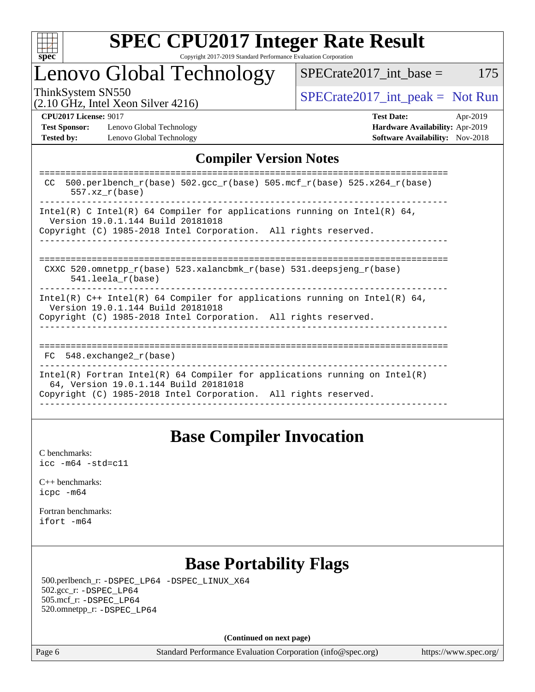

# Lenovo Global Technology

ThinkSystem SN550<br>  $\begin{array}{r} \text{SPECTA} \\ \text{SPECTA} \\ \text{SPECTA} \end{array}$  [SPECrate2017\\_int\\_peak =](http://www.spec.org/auto/cpu2017/Docs/result-fields.html#SPECrate2017intpeak) Not Run

 $SPECTate2017\_int\_base = 175$ 

(2.10 GHz, Intel Xeon Silver 4216)

**[CPU2017 License:](http://www.spec.org/auto/cpu2017/Docs/result-fields.html#CPU2017License)** 9017 **[Test Date:](http://www.spec.org/auto/cpu2017/Docs/result-fields.html#TestDate)** Apr-2019 **[Test Sponsor:](http://www.spec.org/auto/cpu2017/Docs/result-fields.html#TestSponsor)** Lenovo Global Technology **[Hardware Availability:](http://www.spec.org/auto/cpu2017/Docs/result-fields.html#HardwareAvailability)** Apr-2019

**[Tested by:](http://www.spec.org/auto/cpu2017/Docs/result-fields.html#Testedby)** Lenovo Global Technology **[Software Availability:](http://www.spec.org/auto/cpu2017/Docs/result-fields.html#SoftwareAvailability)** Nov-2018

## **[Compiler Version Notes](http://www.spec.org/auto/cpu2017/Docs/result-fields.html#CompilerVersionNotes)**

| 500.perlbench $r(base)$ 502.qcc $r(base)$ 505.mcf $r(base)$ 525.x264 $r(base)$<br>CC.<br>$557.xx$ $r(base)$                                                                            |
|----------------------------------------------------------------------------------------------------------------------------------------------------------------------------------------|
| Intel(R) C Intel(R) 64 Compiler for applications running on Intel(R) 64,<br>Version 19.0.1.144 Build 20181018<br>Copyright (C) 1985-2018 Intel Corporation. All rights reserved.       |
| CXXC 520.omnetpp $r(base)$ 523.xalancbmk $r(base)$ 531.deepsjeng $r(base)$<br>$541.$ leela r(base)                                                                                     |
| Intel(R) $C++$ Intel(R) 64 Compiler for applications running on Intel(R) 64,<br>Version 19.0.1.144 Build 20181018<br>Copyright (C) 1985-2018 Intel Corporation. All rights reserved.   |
| =========================<br>FC 548. exchange2 r(base)                                                                                                                                 |
| Intel(R) Fortran Intel(R) 64 Compiler for applications running on Intel(R)<br>64, Version 19.0.1.144 Build 20181018<br>Copyright (C) 1985-2018 Intel Corporation. All rights reserved. |
|                                                                                                                                                                                        |

## **[Base Compiler Invocation](http://www.spec.org/auto/cpu2017/Docs/result-fields.html#BaseCompilerInvocation)**

[C benchmarks](http://www.spec.org/auto/cpu2017/Docs/result-fields.html#Cbenchmarks): [icc -m64 -std=c11](http://www.spec.org/cpu2017/results/res2019q2/cpu2017-20190429-13120.flags.html#user_CCbase_intel_icc_64bit_c11_33ee0cdaae7deeeab2a9725423ba97205ce30f63b9926c2519791662299b76a0318f32ddfffdc46587804de3178b4f9328c46fa7c2b0cd779d7a61945c91cd35)

[C++ benchmarks:](http://www.spec.org/auto/cpu2017/Docs/result-fields.html#CXXbenchmarks) [icpc -m64](http://www.spec.org/cpu2017/results/res2019q2/cpu2017-20190429-13120.flags.html#user_CXXbase_intel_icpc_64bit_4ecb2543ae3f1412ef961e0650ca070fec7b7afdcd6ed48761b84423119d1bf6bdf5cad15b44d48e7256388bc77273b966e5eb805aefd121eb22e9299b2ec9d9)

[Fortran benchmarks](http://www.spec.org/auto/cpu2017/Docs/result-fields.html#Fortranbenchmarks): [ifort -m64](http://www.spec.org/cpu2017/results/res2019q2/cpu2017-20190429-13120.flags.html#user_FCbase_intel_ifort_64bit_24f2bb282fbaeffd6157abe4f878425411749daecae9a33200eee2bee2fe76f3b89351d69a8130dd5949958ce389cf37ff59a95e7a40d588e8d3a57e0c3fd751)

## **[Base Portability Flags](http://www.spec.org/auto/cpu2017/Docs/result-fields.html#BasePortabilityFlags)**

 500.perlbench\_r: [-DSPEC\\_LP64](http://www.spec.org/cpu2017/results/res2019q2/cpu2017-20190429-13120.flags.html#b500.perlbench_r_basePORTABILITY_DSPEC_LP64) [-DSPEC\\_LINUX\\_X64](http://www.spec.org/cpu2017/results/res2019q2/cpu2017-20190429-13120.flags.html#b500.perlbench_r_baseCPORTABILITY_DSPEC_LINUX_X64) 502.gcc\_r: [-DSPEC\\_LP64](http://www.spec.org/cpu2017/results/res2019q2/cpu2017-20190429-13120.flags.html#suite_basePORTABILITY502_gcc_r_DSPEC_LP64) 505.mcf\_r: [-DSPEC\\_LP64](http://www.spec.org/cpu2017/results/res2019q2/cpu2017-20190429-13120.flags.html#suite_basePORTABILITY505_mcf_r_DSPEC_LP64) 520.omnetpp\_r: [-DSPEC\\_LP64](http://www.spec.org/cpu2017/results/res2019q2/cpu2017-20190429-13120.flags.html#suite_basePORTABILITY520_omnetpp_r_DSPEC_LP64)

**(Continued on next page)**

Page 6 Standard Performance Evaluation Corporation [\(info@spec.org\)](mailto:info@spec.org) <https://www.spec.org/>